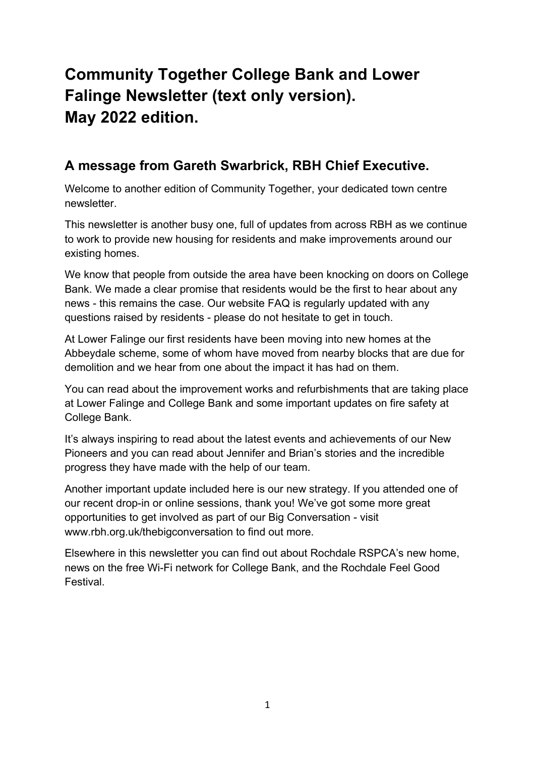# **Community Together College Bank and Lower Falinge Newsletter (text only version). May 2022 edition.**

### **A message from Gareth Swarbrick, RBH Chief Executive.**

Welcome to another edition of Community Together, your dedicated town centre newsletter.

This newsletter is another busy one, full of updates from across RBH as we continue to work to provide new housing for residents and make improvements around our existing homes.

We know that people from outside the area have been knocking on doors on College Bank. We made a clear promise that residents would be the first to hear about any news - this remains the case. Our website FAQ is regularly updated with any questions raised by residents - please do not hesitate to get in touch.

At Lower Falinge our first residents have been moving into new homes at the Abbeydale scheme, some of whom have moved from nearby blocks that are due for demolition and we hear from one about the impact it has had on them.

You can read about the improvement works and refurbishments that are taking place at Lower Falinge and College Bank and some important updates on fire safety at College Bank.

It's always inspiring to read about the latest events and achievements of our New Pioneers and you can read about Jennifer and Brian's stories and the incredible progress they have made with the help of our team.

Another important update included here is our new strategy. If you attended one of our recent drop-in or online sessions, thank you! We've got some more great opportunities to get involved as part of our Big Conversation - visit www.rbh.org.uk/thebigconversation to find out more.

Elsewhere in this newsletter you can find out about Rochdale RSPCA's new home, news on the free Wi-Fi network for College Bank, and the Rochdale Feel Good Festival.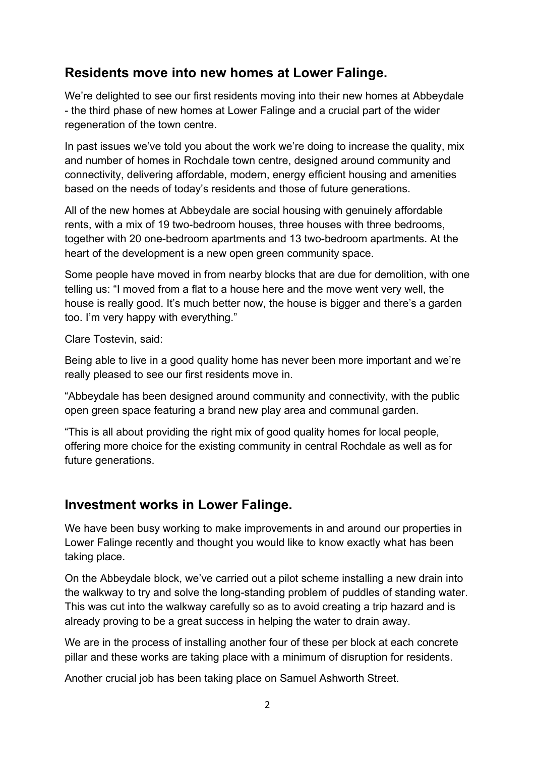### **Residents move into new homes at Lower Falinge.**

We're delighted to see our first residents moving into their new homes at Abbeydale - the third phase of new homes at Lower Falinge and a crucial part of the wider regeneration of the town centre.

In past issues we've told you about the work we're doing to increase the quality, mix and number of homes in Rochdale town centre, designed around community and connectivity, delivering affordable, modern, energy efficient housing and amenities based on the needs of today's residents and those of future generations.

All of the new homes at Abbeydale are social housing with genuinely affordable rents, with a mix of 19 two-bedroom houses, three houses with three bedrooms, together with 20 one-bedroom apartments and 13 two-bedroom apartments. At the heart of the development is a new open green community space.

Some people have moved in from nearby blocks that are due for demolition, with one telling us: "I moved from a flat to a house here and the move went very well, the house is really good. It's much better now, the house is bigger and there's a garden too. I'm very happy with everything."

Clare Tostevin, said:

Being able to live in a good quality home has never been more important and we're really pleased to see our first residents move in.

"Abbeydale has been designed around community and connectivity, with the public open green space featuring a brand new play area and communal garden.

"This is all about providing the right mix of good quality homes for local people, offering more choice for the existing community in central Rochdale as well as for future generations.

### **Investment works in Lower Falinge.**

We have been busy working to make improvements in and around our properties in Lower Falinge recently and thought you would like to know exactly what has been taking place.

On the Abbeydale block, we've carried out a pilot scheme installing a new drain into the walkway to try and solve the long-standing problem of puddles of standing water. This was cut into the walkway carefully so as to avoid creating a trip hazard and is already proving to be a great success in helping the water to drain away.

We are in the process of installing another four of these per block at each concrete pillar and these works are taking place with a minimum of disruption for residents.

Another crucial job has been taking place on Samuel Ashworth Street.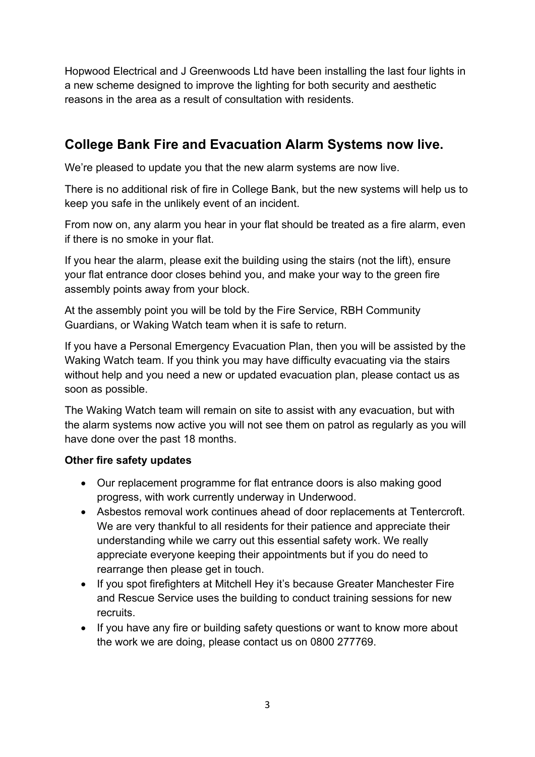Hopwood Electrical and J Greenwoods Ltd have been installing the last four lights in a new scheme designed to improve the lighting for both security and aesthetic reasons in the area as a result of consultation with residents.

### **College Bank Fire and Evacuation Alarm Systems now live.**

We're pleased to update you that the new alarm systems are now live.

There is no additional risk of fire in College Bank, but the new systems will help us to keep you safe in the unlikely event of an incident.

From now on, any alarm you hear in your flat should be treated as a fire alarm, even if there is no smoke in your flat.

If you hear the alarm, please exit the building using the stairs (not the lift), ensure your flat entrance door closes behind you, and make your way to the green fire assembly points away from your block.

At the assembly point you will be told by the Fire Service, RBH Community Guardians, or Waking Watch team when it is safe to return.

If you have a Personal Emergency Evacuation Plan, then you will be assisted by the Waking Watch team. If you think you may have difficulty evacuating via the stairs without help and you need a new or updated evacuation plan, please contact us as soon as possible.

The Waking Watch team will remain on site to assist with any evacuation, but with the alarm systems now active you will not see them on patrol as regularly as you will have done over the past 18 months.

### **Other fire safety updates**

- Our replacement programme for flat entrance doors is also making good progress, with work currently underway in Underwood.
- Asbestos removal work continues ahead of door replacements at Tentercroft. We are very thankful to all residents for their patience and appreciate their understanding while we carry out this essential safety work. We really appreciate everyone keeping their appointments but if you do need to rearrange then please get in touch.
- If you spot firefighters at Mitchell Hey it's because Greater Manchester Fire and Rescue Service uses the building to conduct training sessions for new recruits.
- If you have any fire or building safety questions or want to know more about the work we are doing, please contact us on 0800 277769.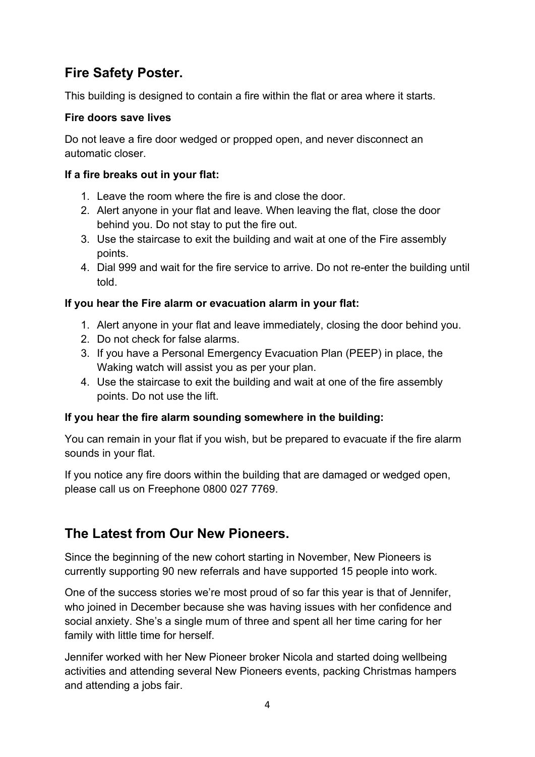# **Fire Safety Poster.**

This building is designed to contain a fire within the flat or area where it starts.

### **Fire doors save lives**

Do not leave a fire door wedged or propped open, and never disconnect an automatic closer.

### **If a fire breaks out in your flat:**

- 1. Leave the room where the fire is and close the door.
- 2. Alert anyone in your flat and leave. When leaving the flat, close the door behind you. Do not stay to put the fire out.
- 3. Use the staircase to exit the building and wait at one of the Fire assembly points.
- 4. Dial 999 and wait for the fire service to arrive. Do not re-enter the building until told.

### **If you hear the Fire alarm or evacuation alarm in your flat:**

- 1. Alert anyone in your flat and leave immediately, closing the door behind you.
- 2. Do not check for false alarms.
- 3. If you have a Personal Emergency Evacuation Plan (PEEP) in place, the Waking watch will assist you as per your plan.
- 4. Use the staircase to exit the building and wait at one of the fire assembly points. Do not use the lift.

### **If you hear the fire alarm sounding somewhere in the building:**

You can remain in your flat if you wish, but be prepared to evacuate if the fire alarm sounds in your flat.

If you notice any fire doors within the building that are damaged or wedged open, please call us on Freephone 0800 027 7769.

# **The Latest from Our New Pioneers.**

Since the beginning of the new cohort starting in November, New Pioneers is currently supporting 90 new referrals and have supported 15 people into work.

One of the success stories we're most proud of so far this year is that of Jennifer, who joined in December because she was having issues with her confidence and social anxiety. She's a single mum of three and spent all her time caring for her family with little time for herself.

Jennifer worked with her New Pioneer broker Nicola and started doing wellbeing activities and attending several New Pioneers events, packing Christmas hampers and attending a jobs fair.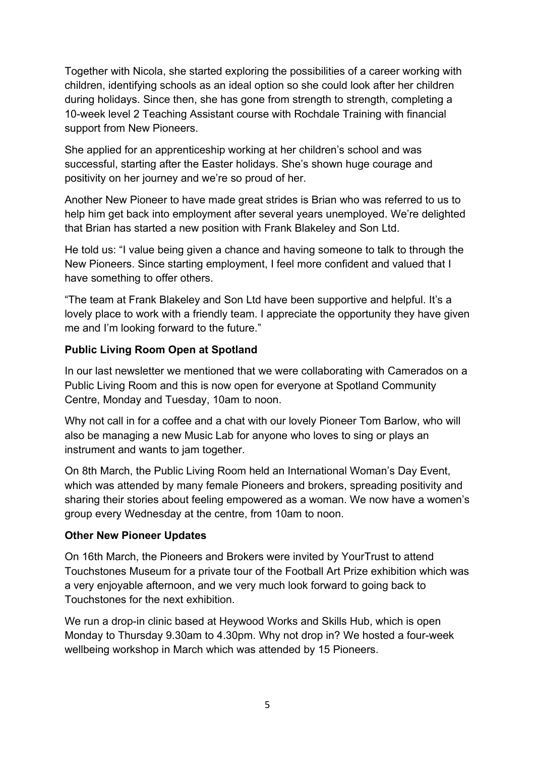Together with Nicola, she started exploring the possibilities of a career working with children, identifying schools as an ideal option so she could look after her children during holidays. Since then, she has gone from strength to strength, completing a 10-week level 2 Teaching Assistant course with Rochdale Training with financial support from New Pioneers.

She applied for an apprenticeship working at her children's school and was successful, starting after the Easter holidays. She's shown huge courage and positivity on her journey and we're so proud of her.

Another New Pioneer to have made great strides is Brian who was referred to us to help him get back into employment after several years unemployed. We're delighted that Brian has started a new position with Frank Blakeley and Son Ltd.

He told us: "I value being given a chance and having someone to talk to through the New Pioneers. Since starting employment, I feel more confident and valued that I have something to offer others.

"The team at Frank Blakeley and Son Ltd have been supportive and helpful. It's a lovely place to work with a friendly team. I appreciate the opportunity they have given me and I'm looking forward to the future."

### **Public Living Room Open at Spotland**

In our last newsletter we mentioned that we were collaborating with Camerados on a Public Living Room and this is now open for everyone at Spotland Community Centre, Monday and Tuesday, 10am to noon.

Why not call in for a coffee and a chat with our lovely Pioneer Tom Barlow, who will also be managing a new Music Lab for anyone who loves to sing or plays an instrument and wants to jam together.

On 8th March, the Public Living Room held an International Woman's Day Event, which was attended by many female Pioneers and brokers, spreading positivity and sharing their stories about feeling empowered as a woman. We now have a women's group every Wednesday at the centre, from 10am to noon.

#### **Other New Pioneer Updates**

On 16th March, the Pioneers and Brokers were invited by YourTrust to attend Touchstones Museum for a private tour of the Football Art Prize exhibition which was a very enjoyable afternoon, and we very much look forward to going back to Touchstones for the next exhibition.

We run a drop-in clinic based at Heywood Works and Skills Hub, which is open Monday to Thursday 9.30am to 4.30pm. Why not drop in? We hosted a four-week wellbeing workshop in March which was attended by 15 Pioneers.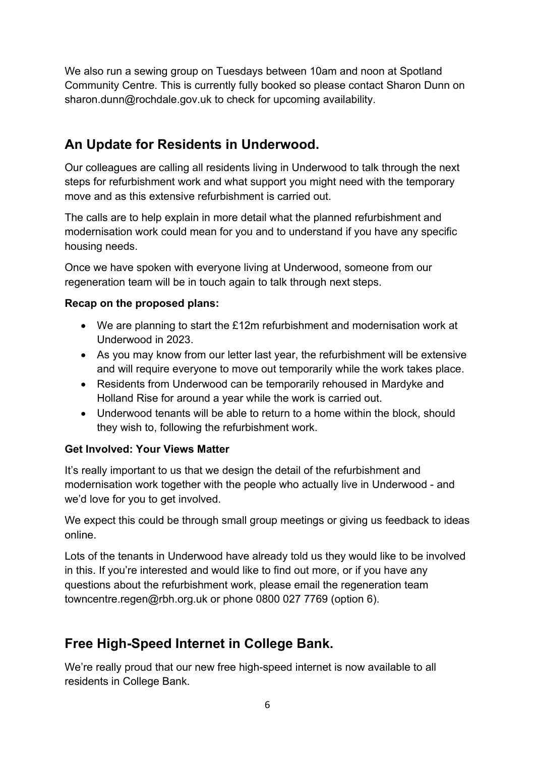We also run a sewing group on Tuesdays between 10am and noon at Spotland Community Centre. This is currently fully booked so please contact Sharon Dunn on sharon.dunn@rochdale.gov.uk to check for upcoming availability.

### **An Update for Residents in Underwood.**

Our colleagues are calling all residents living in Underwood to talk through the next steps for refurbishment work and what support you might need with the temporary move and as this extensive refurbishment is carried out.

The calls are to help explain in more detail what the planned refurbishment and modernisation work could mean for you and to understand if you have any specific housing needs.

Once we have spoken with everyone living at Underwood, someone from our regeneration team will be in touch again to talk through next steps.

### **Recap on the proposed plans:**

- We are planning to start the £12m refurbishment and modernisation work at Underwood in 2023.
- As you may know from our letter last year, the refurbishment will be extensive and will require everyone to move out temporarily while the work takes place.
- Residents from Underwood can be temporarily rehoused in Mardyke and Holland Rise for around a year while the work is carried out.
- Underwood tenants will be able to return to a home within the block, should they wish to, following the refurbishment work.

### **Get Involved: Your Views Matter**

It's really important to us that we design the detail of the refurbishment and modernisation work together with the people who actually live in Underwood - and we'd love for you to get involved.

We expect this could be through small group meetings or giving us feedback to ideas online.

Lots of the tenants in Underwood have already told us they would like to be involved in this. If you're interested and would like to find out more, or if you have any questions about the refurbishment work, please email the regeneration team towncentre.regen@rbh.org.uk or phone 0800 027 7769 (option 6).

# **Free High-Speed Internet in College Bank.**

We're really proud that our new free high-speed internet is now available to all residents in College Bank.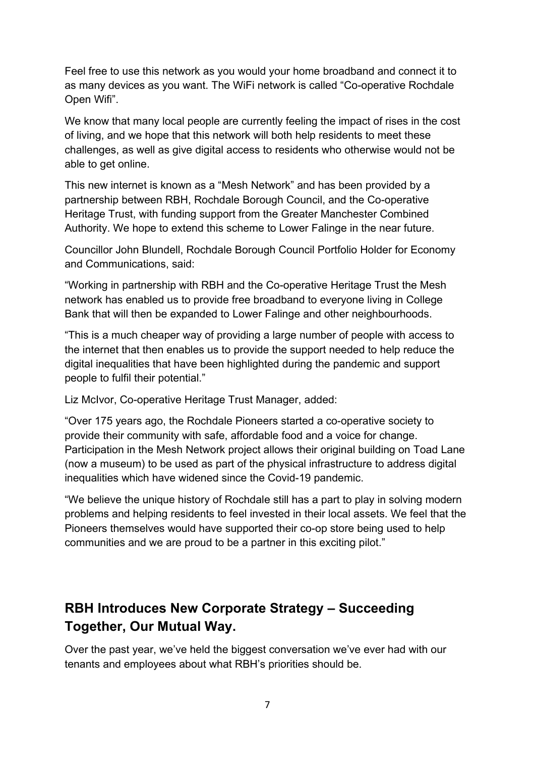Feel free to use this network as you would your home broadband and connect it to as many devices as you want. The WiFi network is called "Co-operative Rochdale Open Wifi".

We know that many local people are currently feeling the impact of rises in the cost of living, and we hope that this network will both help residents to meet these challenges, as well as give digital access to residents who otherwise would not be able to get online.

This new internet is known as a "Mesh Network" and has been provided by a partnership between RBH, Rochdale Borough Council, and the Co-operative Heritage Trust, with funding support from the Greater Manchester Combined Authority. We hope to extend this scheme to Lower Falinge in the near future.

Councillor John Blundell, Rochdale Borough Council Portfolio Holder for Economy and Communications, said:

"Working in partnership with RBH and the Co-operative Heritage Trust the Mesh network has enabled us to provide free broadband to everyone living in College Bank that will then be expanded to Lower Falinge and other neighbourhoods.

"This is a much cheaper way of providing a large number of people with access to the internet that then enables us to provide the support needed to help reduce the digital inequalities that have been highlighted during the pandemic and support people to fulfil their potential."

Liz McIvor, Co-operative Heritage Trust Manager, added:

"Over 175 years ago, the Rochdale Pioneers started a co-operative society to provide their community with safe, affordable food and a voice for change. Participation in the Mesh Network project allows their original building on Toad Lane (now a museum) to be used as part of the physical infrastructure to address digital inequalities which have widened since the Covid-19 pandemic.

"We believe the unique history of Rochdale still has a part to play in solving modern problems and helping residents to feel invested in their local assets. We feel that the Pioneers themselves would have supported their co-op store being used to help communities and we are proud to be a partner in this exciting pilot."

# **RBH Introduces New Corporate Strategy – Succeeding Together, Our Mutual Way.**

Over the past year, we've held the biggest conversation we've ever had with our tenants and employees about what RBH's priorities should be.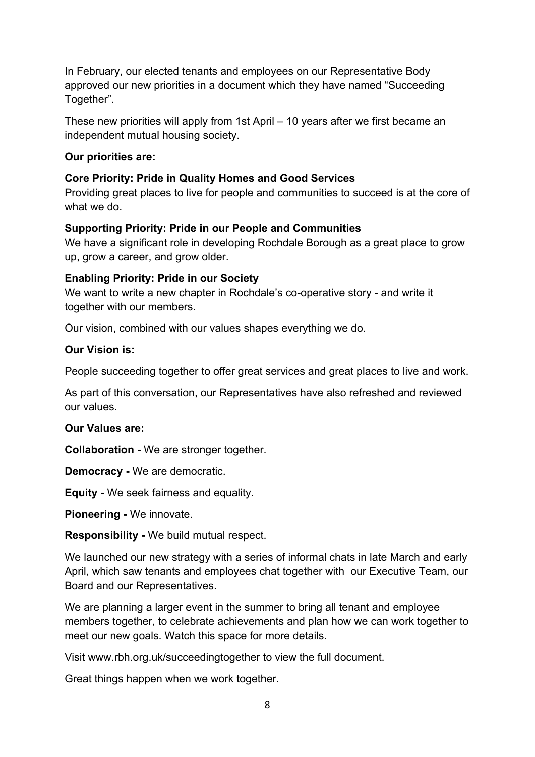In February, our elected tenants and employees on our Representative Body approved our new priorities in a document which they have named "Succeeding Together".

These new priorities will apply from 1st April – 10 years after we first became an independent mutual housing society.

#### **Our priorities are:**

### **Core Priority: Pride in Quality Homes and Good Services**

Providing great places to live for people and communities to succeed is at the core of what we do.

### **Supporting Priority: Pride in our People and Communities**

We have a significant role in developing Rochdale Borough as a great place to grow up, grow a career, and grow older.

### **Enabling Priority: Pride in our Society**

We want to write a new chapter in Rochdale's co-operative story - and write it together with our members.

Our vision, combined with our values shapes everything we do.

#### **Our Vision is:**

People succeeding together to offer great services and great places to live and work.

As part of this conversation, our Representatives have also refreshed and reviewed our values.

### **Our Values are:**

**Collaboration -** We are stronger together.

**Democracy -** We are democratic.

**Equity -** We seek fairness and equality.

**Pioneering -** We innovate.

**Responsibility -** We build mutual respect.

We launched our new strategy with a series of informal chats in late March and early April, which saw tenants and employees chat together with our Executive Team, our Board and our Representatives.

We are planning a larger event in the summer to bring all tenant and employee members together, to celebrate achievements and plan how we can work together to meet our new goals. Watch this space for more details.

Visit www.rbh.org.uk/succeedingtogether to view the full document.

Great things happen when we work together.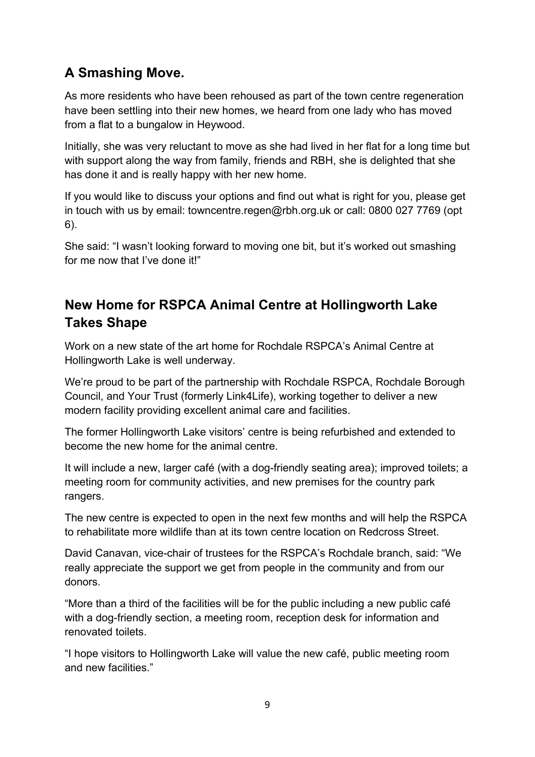# **A Smashing Move.**

As more residents who have been rehoused as part of the town centre regeneration have been settling into their new homes, we heard from one lady who has moved from a flat to a bungalow in Heywood.

Initially, she was very reluctant to move as she had lived in her flat for a long time but with support along the way from family, friends and RBH, she is delighted that she has done it and is really happy with her new home.

If you would like to discuss your options and find out what is right for you, please get in touch with us by email: towncentre.regen@rbh.org.uk or call: 0800 027 7769 (opt 6).

She said: "I wasn't looking forward to moving one bit, but it's worked out smashing for me now that I've done it!"

# **New Home for RSPCA Animal Centre at Hollingworth Lake Takes Shape**

Work on a new state of the art home for Rochdale RSPCA's Animal Centre at Hollingworth Lake is well underway.

We're proud to be part of the partnership with Rochdale RSPCA, Rochdale Borough Council, and Your Trust (formerly Link4Life), working together to deliver a new modern facility providing excellent animal care and facilities.

The former Hollingworth Lake visitors' centre is being refurbished and extended to become the new home for the animal centre.

It will include a new, larger café (with a dog-friendly seating area); improved toilets; a meeting room for community activities, and new premises for the country park rangers.

The new centre is expected to open in the next few months and will help the RSPCA to rehabilitate more wildlife than at its town centre location on Redcross Street.

David Canavan, vice-chair of trustees for the RSPCA's Rochdale branch, said: "We really appreciate the support we get from people in the community and from our donors.

"More than a third of the facilities will be for the public including a new public café with a dog-friendly section, a meeting room, reception desk for information and renovated toilets.

"I hope visitors to Hollingworth Lake will value the new café, public meeting room and new facilities."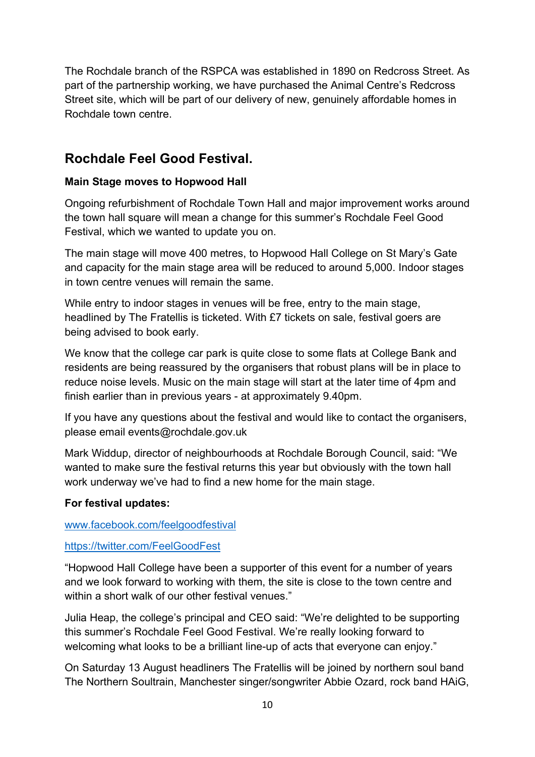The Rochdale branch of the RSPCA was established in 1890 on Redcross Street. As part of the partnership working, we have purchased the Animal Centre's Redcross Street site, which will be part of our delivery of new, genuinely affordable homes in Rochdale town centre.

### **Rochdale Feel Good Festival.**

### **Main Stage moves to Hopwood Hall**

Ongoing refurbishment of Rochdale Town Hall and major improvement works around the town hall square will mean a change for this summer's Rochdale Feel Good Festival, which we wanted to update you on.

The main stage will move 400 metres, to Hopwood Hall College on St Mary's Gate and capacity for the main stage area will be reduced to around 5,000. Indoor stages in town centre venues will remain the same.

While entry to indoor stages in venues will be free, entry to the main stage, headlined by The Fratellis is ticketed. With £7 tickets on sale, festival goers are being advised to book early.

We know that the college car park is quite close to some flats at College Bank and residents are being reassured by the organisers that robust plans will be in place to reduce noise levels. Music on the main stage will start at the later time of 4pm and finish earlier than in previous years - at approximately 9.40pm.

If you have any questions about the festival and would like to contact the organisers, please email events@rochdale.gov.uk

Mark Widdup, director of neighbourhoods at Rochdale Borough Council, said: "We wanted to make sure the festival returns this year but obviously with the town hall work underway we've had to find a new home for the main stage.

#### **For festival updates:**

#### [www.facebook.com/feelgoodfestival](http://www.facebook.com/feelgoodfestival)

#### <https://twitter.com/FeelGoodFest>

"Hopwood Hall College have been a supporter of this event for a number of years and we look forward to working with them, the site is close to the town centre and within a short walk of our other festival venues."

Julia Heap, the college's principal and CEO said: "We're delighted to be supporting this summer's Rochdale Feel Good Festival. We're really looking forward to welcoming what looks to be a brilliant line-up of acts that everyone can enjoy."

On Saturday 13 August headliners The Fratellis will be joined by northern soul band The Northern Soultrain, Manchester singer/songwriter Abbie Ozard, rock band HAiG,